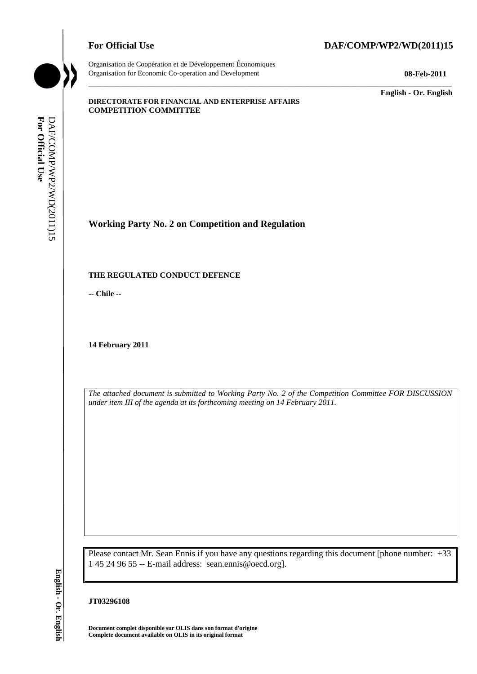



Organisation de Coopération et de Développement Économiques Organisation for Economic Co-operation and Development **08-Feb-2011**

\_\_\_\_\_\_\_\_\_\_\_\_\_ **English - Or. English**

#### **DIRECTORATE FOR FINANCIAL AND ENTERPRISE AFFAIRS COMPETITION COMMITTEE**

# **Working Party No. 2 on Competition and Regulation**

#### **THE REGULATED CONDUCT DEFENCE**

**-- Chile --**

**14 February 2011**

*The attached document is submitted to Working Party No. 2 of the Competition Committee FOR DISCUSSION under item III of the agenda at its forthcoming meeting on 14 February 2011.*

\_\_\_\_\_\_\_\_\_\_\_\_\_\_\_\_\_\_\_\_\_\_\_\_\_\_\_\_\_\_\_\_\_\_\_\_\_\_\_\_\_\_\_\_\_\_\_\_\_\_\_\_\_\_\_\_\_\_\_\_\_\_\_\_\_\_\_\_\_\_\_\_\_\_\_\_\_\_\_\_\_\_\_\_\_\_\_\_\_\_\_

Please contact Mr. Sean Ennis if you have any questions regarding this document [phone number: +33 1 45 24 96 55 -- E-mail address: sean.ennis@oecd.org]. **Complete document available on OLIS in its original format For Official Use** DAF/COMP/WP2/WD(2011)15 **English - Or. English**

#### **JT03296108**

**Document complet disponible sur OLIS dans son format d'origine**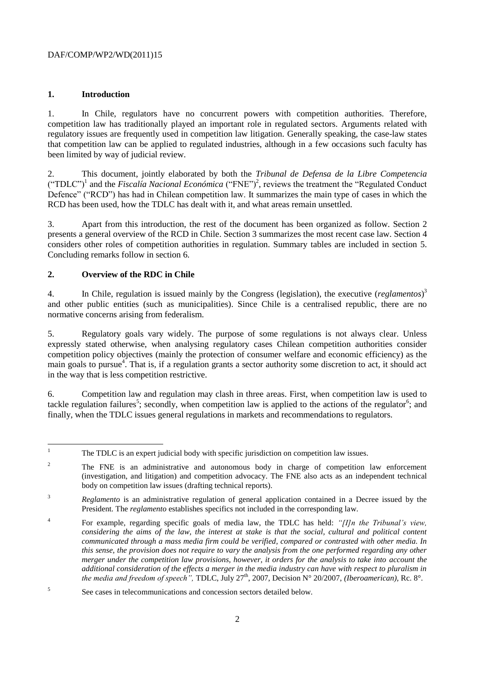## **1. Introduction**

1. In Chile, regulators have no concurrent powers with competition authorities. Therefore, competition law has traditionally played an important role in regulated sectors. Arguments related with regulatory issues are frequently used in competition law litigation. Generally speaking, the case-law states that competition law can be applied to regulated industries, although in a few occasions such faculty has been limited by way of judicial review.

2. This document, jointly elaborated by both the *Tribunal de Defensa de la Libre Competencia*  $("TDLC")<sup>1</sup>$  and the *Fiscalía Nacional Económica*  $("FNE")<sup>2</sup>$ , reviews the treatment the "Regulated Conduct" Defence" ("RCD") has had in Chilean competition law. It summarizes the main type of cases in which the RCD has been used, how the TDLC has dealt with it, and what areas remain unsettled.

3. Apart from this introduction, the rest of the document has been organized as follow. Section 2 presents a general overview of the RCD in Chile. Section 3 summarizes the most recent case law. Section 4 considers other roles of competition authorities in regulation. Summary tables are included in section 5. Concluding remarks follow in section 6.

## **2. Overview of the RDC in Chile**

4. In Chile, regulation is issued mainly by the Congress (legislation), the executive (*reglamentos*) 3 and other public entities (such as municipalities). Since Chile is a centralised republic, there are no normative concerns arising from federalism.

5. Regulatory goals vary widely. The purpose of some regulations is not always clear. Unless expressly stated otherwise, when analysing regulatory cases Chilean competition authorities consider competition policy objectives (mainly the protection of consumer welfare and economic efficiency) as the main goals to pursue<sup>4</sup>. That is, if a regulation grants a sector authority some discretion to act, it should act in the way that is less competition restrictive.

6. Competition law and regulation may clash in three areas. First, when competition law is used to tackle regulation failures<sup>5</sup>; secondly, when competition law is applied to the actions of the regulator<sup>6</sup>; and finally, when the TDLC issues general regulations in markets and recommendations to regulators.

 $\bar{1}$ <sup>1</sup> The TDLC is an expert judicial body with specific jurisdiction on competition law issues.

<sup>&</sup>lt;sup>2</sup> The FNE is an administrative and autonomous body in charge of competition law enforcement (investigation, and litigation) and competition advocacy. The FNE also acts as an independent technical body on competition law issues (drafting technical reports).

<sup>&</sup>lt;sup>3</sup> *Reglamento* is an administrative regulation of general application contained in a Decree issued by the President. The *reglamento* establishes specifics not included in the corresponding law.

<sup>4</sup> For example, regarding specific goals of media law, the TDLC has held: *"[I]n the Tribunal's view, considering the aims of the law, the interest at stake is that the social, cultural and political content communicated through a mass media firm could be verified, compared or contrasted with other media. In this sense, the provision does not require to vary the analysis from the one performed regarding any other merger under the competition law provisions, however, it orders for the analysis to take into account the additional consideration of the effects a merger in the media industry can have with respect to pluralism in the media and freedom of speech", TDLC, July 27<sup>th</sup>, 2007, Decision N° 20/2007, <i>(Iberoamerican), Rc. 8°.* 

<sup>5</sup> See cases in telecommunications and concession sectors detailed below.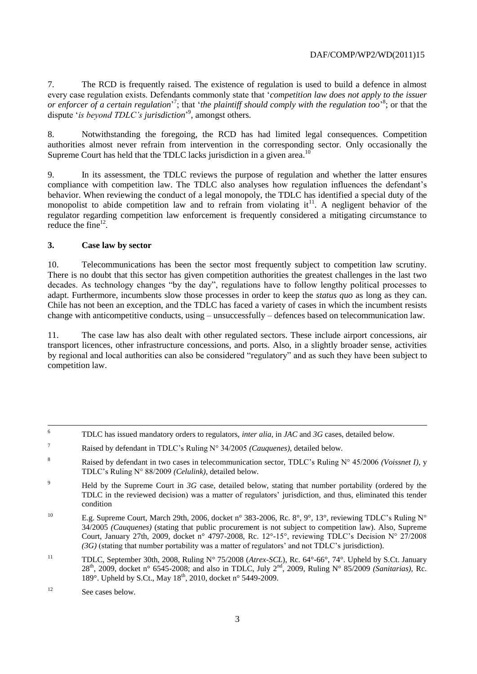7. The RCD is frequently raised. The existence of regulation is used to build a defence in almost every case regulation exists. Defendants commonly state that "*competition law does not apply to the issuer*  or enforcer of a certain regulation<sup>3</sup>; that 'the plaintiff should comply with the regulation too<sup>3</sup>; or that the dispute 'is beyond TDLC's jurisdiction<sup>'9</sup>, amongst others.

8. Notwithstanding the foregoing, the RCD has had limited legal consequences. Competition authorities almost never refrain from intervention in the corresponding sector. Only occasionally the Supreme Court has held that the TDLC lacks jurisdiction in a given area.<sup>10</sup>

9. In its assessment, the TDLC reviews the purpose of regulation and whether the latter ensures compliance with competition law. The TDLC also analyses how regulation influences the defendant's behavior. When reviewing the conduct of a legal monopoly, the TDLC has identified a special duty of the monopolist to abide competition law and to refrain from violating  $it<sup>11</sup>$ . A negligent behavior of the regulator regarding competition law enforcement is frequently considered a mitigating circumstance to reduce the fine $12$ .

#### **3. Case law by sector**

10. Telecommunications has been the sector most frequently subject to competition law scrutiny. There is no doubt that this sector has given competition authorities the greatest challenges in the last two decades. As technology changes "by the day", regulations have to follow lengthy political processes to adapt. Furthermore, incumbents slow those processes in order to keep the *status quo* as long as they can. Chile has not been an exception, and the TDLC has faced a variety of cases in which the incumbent resists change with anticompetitive conducts, using – unsuccessfully – defences based on telecommunication law.

11. The case law has also dealt with other regulated sectors. These include airport concessions, air transport licences, other infrastructure concessions, and ports. Also, in a slightly broader sense, activities by regional and local authorities can also be considered "regulatory" and as such they have been subject to competition law.

- <sup>10</sup> E.g. Supreme Court, March 29th, 2006, docket n° 383-2006, Rc.  $8^\circ$ ,  $9^\circ$ , 13°, reviewing TDLC's Ruling N° 34/2005 *(Cauquenes)* (stating that public procurement is not subject to competition law). Also, Supreme Court, January 27th, 2009, docket n° 4797-2008, Rc. 12°-15°, reviewing TDLC"s Decision N° 27/2008 *(3G)* (stating that number portability was a matter of regulators" and not TDLC"s jurisdiction).
- <sup>11</sup> TDLC, September 30th, 2008, Ruling N° 75/2008 (*Atrex-SCL*), Rc. 64°-66°, 74°. Upheld by S.Ct. January 28th, 2009, docket n° 6545-2008; and also in TDLC, July 2nd, 2009, Ruling N° 85/2009 *(Sanitarias),* Rc. 189°. Upheld by S.Ct., May  $18^{th}$ , 2010, docket n° 5449-2009.

<sup>6</sup> <sup>6</sup> TDLC has issued mandatory orders to regulators, *inter alia*, in *JAC* and *3G* cases, detailed below.

<sup>7</sup> Raised by defendant in TDLC"s Ruling N° 34/2005 *(Cauquenes)*, detailed below.

<sup>8</sup> Raised by defendant in two cases in telecommunication sector, TDLC's Ruling N° 45/2006 *(Voissnet I)*, y TDLC"s Ruling N° 88/2009 *(Celulink)*, detailed below.

<sup>&</sup>lt;sup>9</sup> Held by the Supreme Court in *3G* case, detailed below, stating that number portability (ordered by the TDLC in the reviewed decision) was a matter of regulators' jurisdiction, and thus, eliminated this tender condition

<sup>&</sup>lt;sup>12</sup> See cases below.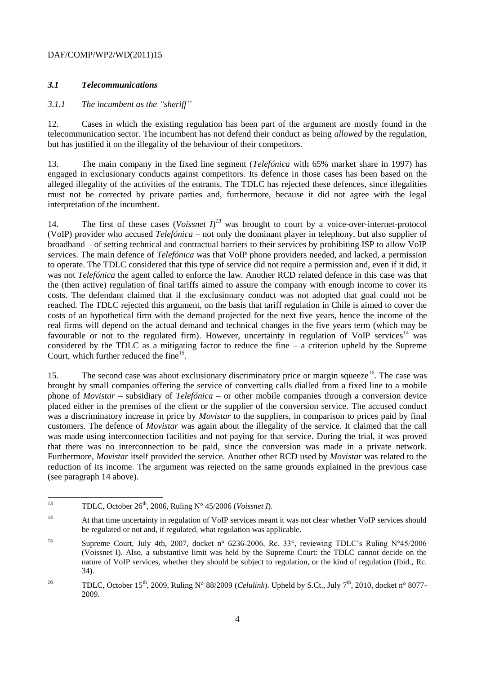## *3.1 Telecommunications*

## *3.1.1 The incumbent as the "sheriff"*

12. Cases in which the existing regulation has been part of the argument are mostly found in the telecommunication sector. The incumbent has not defend their conduct as being *allowed* by the regulation, but has justified it on the illegality of the behaviour of their competitors.

13. The main company in the fixed line segment (*Telefónica* with 65% market share in 1997) has engaged in exclusionary conducts against competitors. Its defence in those cases has been based on the alleged illegality of the activities of the entrants. The TDLC has rejected these defences, since illegalities must not be corrected by private parties and, furthermore, because it did not agree with the legal interpretation of the incumbent.

14. The first of these cases (*Voissnet I*)<sup> $13$ </sup> was brought to court by a voice-over-internet-protocol (VoIP) provider who accused *Telefónica* – not only the dominant player in telephony, but also supplier of broadband – of setting technical and contractual barriers to their services by prohibiting ISP to allow VoIP services. The main defence of *Telefónica* was that VoIP phone providers needed, and lacked, a permission to operate. The TDLC considered that this type of service did not require a permission and, even if it did, it was not *Telefónica* the agent called to enforce the law. Another RCD related defence in this case was that the (then active) regulation of final tariffs aimed to assure the company with enough income to cover its costs. The defendant claimed that if the exclusionary conduct was not adopted that goal could not be reached. The TDLC rejected this argument, on the basis that tariff regulation in Chile is aimed to cover the costs of an hypothetical firm with the demand projected for the next five years, hence the income of the real firms will depend on the actual demand and technical changes in the five years term (which may be favourable or not to the regulated firm). However, uncertainty in regulation of VoIP services<sup>14</sup> was considered by the TDLC as a mitigating factor to reduce the fine  $-$  a criterion upheld by the Supreme Court, which further reduced the fine<sup>15</sup>.

15. The second case was about exclusionary discriminatory price or margin squeeze<sup>16</sup>. The case was brought by small companies offering the service of converting calls dialled from a fixed line to a mobile phone of *Movistar* – subsidiary of *Telefónica* – or other mobile companies through a conversion device placed either in the premises of the client or the supplier of the conversion service. The accused conduct was a discriminatory increase in price by *Movistar* to the suppliers, in comparison to prices paid by final customers. The defence of *Movistar* was again about the illegality of the service. It claimed that the call was made using interconnection facilities and not paying for that service. During the trial, it was proved that there was no interconnection to be paid, since the conversion was made in a private network. Furthermore, *Movistar* itself provided the service. Another other RCD used by *Movistar* was related to the reduction of its income. The argument was rejected on the same grounds explained in the previous case (see paragraph 14 above).

 $13$ <sup>13</sup> TDLC, October 26th, 2006, Ruling N° 45/2006 (*Voissnet I*).

<sup>&</sup>lt;sup>14</sup> At that time uncertainty in regulation of VoIP services meant it was not clear whether VoIP services should be regulated or not and, if regulated, what regulation was applicable.

<sup>&</sup>lt;sup>15</sup> Supreme Court, July 4th, 2007, docket n° 6236-2006, Rc. 33°, reviewing TDLC's Ruling N°45/2006 (Voissnet I). Also, a substantive limit was held by the Supreme Court: the TDLC cannot decide on the nature of VoIP services, whether they should be subject to regulation, or the kind of regulation (Ibid., Rc. 34).

<sup>&</sup>lt;sup>16</sup> TDLC, October 15<sup>th</sup>, 2009, Ruling N° 88/2009 (*Celulink*). Upheld by S.Ct., July 7<sup>th</sup>, 2010, docket n° 8077-2009.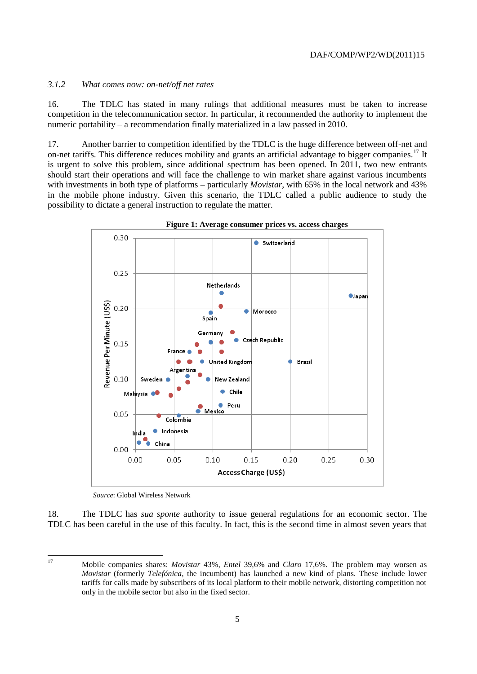## *3.1.2 What comes now: on-net/off net rates*

16. The TDLC has stated in many rulings that additional measures must be taken to increase competition in the telecommunication sector. In particular, it recommended the authority to implement the numeric portability – a recommendation finally materialized in a law passed in 2010.

17. Another barrier to competition identified by the TDLC is the huge difference between off-net and on-net tariffs. This difference reduces mobility and grants an artificial advantage to bigger companies.<sup>17</sup> It is urgent to solve this problem, since additional spectrum has been opened. In 2011, two new entrants should start their operations and will face the challenge to win market share against various incumbents with investments in both type of platforms – particularly *Movistar*, with 65% in the local network and 43% in the mobile phone industry. Given this scenario, the TDLC called a public audience to study the possibility to dictate a general instruction to regulate the matter.



**Figure 1: Average consumer prices vs. access charges**

*Source*: Global Wireless Network

18. The TDLC has *sua sponte* authority to issue general regulations for an economic sector. The TDLC has been careful in the use of this faculty. In fact, this is the second time in almost seven years that

<sup>17</sup> <sup>17</sup> Mobile companies shares: *Movistar* 43%, *Entel* 39,6% and *Claro* 17,6%. The problem may worsen as *Movistar* (formerly *Telefónica*, the incumbent) has launched a new kind of plans. These include lower tariffs for calls made by subscribers of its local platform to their mobile network, distorting competition not only in the mobile sector but also in the fixed sector.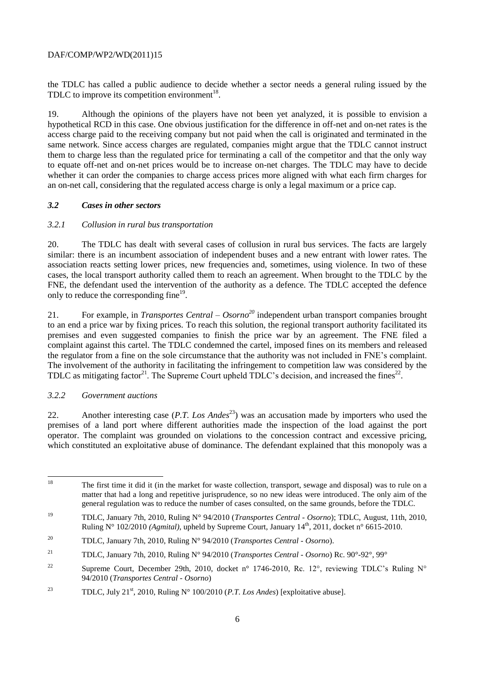the TDLC has called a public audience to decide whether a sector needs a general ruling issued by the TDLC to improve its competition environment $^{18}$ .

19. Although the opinions of the players have not been yet analyzed, it is possible to envision a hypothetical RCD in this case. One obvious justification for the difference in off-net and on-net rates is the access charge paid to the receiving company but not paid when the call is originated and terminated in the same network. Since access charges are regulated, companies might argue that the TDLC cannot instruct them to charge less than the regulated price for terminating a call of the competitor and that the only way to equate off-net and on-net prices would be to increase on-net charges. The TDLC may have to decide whether it can order the companies to charge access prices more aligned with what each firm charges for an on-net call, considering that the regulated access charge is only a legal maximum or a price cap.

## *3.2 Cases in other sectors*

## *3.2.1 Collusion in rural bus transportation*

20. The TDLC has dealt with several cases of collusion in rural bus services. The facts are largely similar: there is an incumbent association of independent buses and a new entrant with lower rates. The association reacts setting lower prices, new frequencies and, sometimes, using violence. In two of these cases, the local transport authority called them to reach an agreement. When brought to the TDLC by the FNE, the defendant used the intervention of the authority as a defence. The TDLC accepted the defence only to reduce the corresponding fine<sup>19</sup>.

21. For example, in *Transportes Central – Osorno<sup>20</sup>* independent urban transport companies brought to an end a price war by fixing prices. To reach this solution, the regional transport authority facilitated its premises and even suggested companies to finish the price war by an agreement. The FNE filed a complaint against this cartel. The TDLC condemned the cartel, imposed fines on its members and released the regulator from a fine on the sole circumstance that the authority was not included in FNE"s complaint. The involvement of the authority in facilitating the infringement to competition law was considered by the TDLC as mitigating factor<sup>21</sup>. The Supreme Court upheld TDLC's decision, and increased the fines<sup>22</sup>.

## *3.2.2 Government auctions*

22. Another interesting case (*P.T. Los Andes*<sup>23</sup>) was an accusation made by importers who used the premises of a land port where different authorities made the inspection of the load against the port operator. The complaint was grounded on violations to the concession contract and excessive pricing, which constituted an exploitative abuse of dominance. The defendant explained that this monopoly was a

<sup>18</sup> <sup>18</sup> The first time it did it (in the market for waste collection, transport, sewage and disposal) was to rule on a matter that had a long and repetitive jurisprudence, so no new ideas were introduced. The only aim of the general regulation was to reduce the number of cases consulted, on the same grounds, before the TDLC.

<sup>19</sup> TDLC, January 7th, 2010, Ruling N° 94/2010 (*Transportes Central - Osorno*); TDLC, August, 11th, 2010, Ruling N° 102/2010 (Agmital), upheld by Supreme Court, January 14<sup>th</sup>, 2011, docket n° 6615-2010.

<sup>20</sup> TDLC, January 7th, 2010, Ruling N° 94/2010 (*Transportes Central - Osorno*).

<sup>21</sup> TDLC, January 7th, 2010, Ruling N° 94/2010 (*Transportes Central - Osorno*) Rc. 90°-92°, 99°

<sup>&</sup>lt;sup>22</sup> Supreme Court, December 29th, 2010, docket n° 1746-2010, Rc. 12°, reviewing TDLC's Ruling N° 94/2010 (*Transportes Central - Osorno*)

<sup>&</sup>lt;sup>23</sup> TDLC, July 21<sup>st</sup>, 2010, Ruling N° 100/2010 (*P.T. Los Andes*) [exploitative abuse].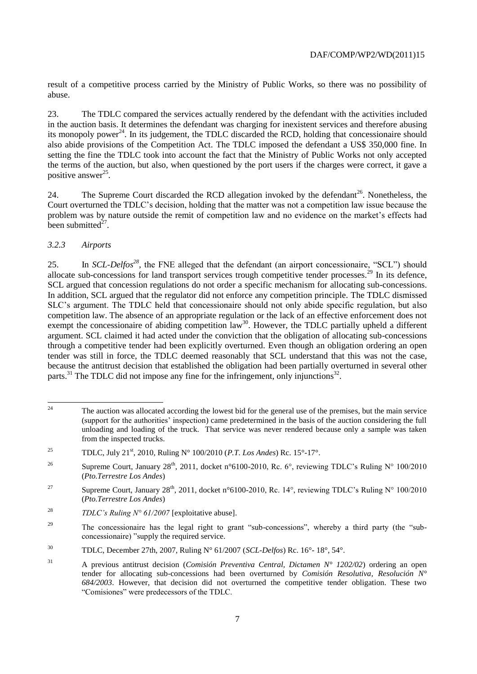result of a competitive process carried by the Ministry of Public Works, so there was no possibility of abuse.

23. The TDLC compared the services actually rendered by the defendant with the activities included in the auction basis. It determines the defendant was charging for inexistent services and therefore abusing its monopoly power<sup>24</sup>. In its judgement, the TDLC discarded the RCD, holding that concessionaire should also abide provisions of the Competition Act. The TDLC imposed the defendant a US\$ 350,000 fine. In setting the fine the TDLC took into account the fact that the Ministry of Public Works not only accepted the terms of the auction, but also, when questioned by the port users if the charges were correct, it gave a positive answer<sup>25</sup>.

24. The Supreme Court discarded the RCD allegation invoked by the defendant<sup>26</sup>. Nonetheless, the Court overturned the TDLC"s decision, holding that the matter was not a competition law issue because the problem was by nature outside the remit of competition law and no evidence on the market"s effects had been submitted $^{27}$ .

## *3.2.3 Airports*

25. In *SCL-Delfos*<sup>28</sup>, the FNE alleged that the defendant (an airport concessionaire, "SCL") should allocate sub-concessions for land transport services trough competitive tender processes.<sup>29</sup> In its defence, SCL argued that concession regulations do not order a specific mechanism for allocating sub-concessions. In addition, SCL argued that the regulator did not enforce any competition principle. The TDLC dismissed SLC"s argument. The TDLC held that concessionaire should not only abide specific regulation, but also competition law. The absence of an appropriate regulation or the lack of an effective enforcement does not exempt the concessionaire of abiding competition law<sup>30</sup>. However, the TDLC partially upheld a different argument. SCL claimed it had acted under the conviction that the obligation of allocating sub-concessions through a competitive tender had been explicitly overturned. Even though an obligation ordering an open tender was still in force, the TDLC deemed reasonably that SCL understand that this was not the case, because the antitrust decision that established the obligation had been partially overturned in several other parts.<sup>31</sup> The TDLC did not impose any fine for the infringement, only injunctions<sup>32</sup>.

 $\overline{24}$ <sup>24</sup> The auction was allocated according the lowest bid for the general use of the premises, but the main service (support for the authorities" inspection) came predetermined in the basis of the auction considering the full unloading and loading of the truck. That service was never rendered because only a sample was taken from the inspected trucks.

<sup>&</sup>lt;sup>25</sup> TDLC, July 21<sup>st</sup>, 2010, Ruling N° 100/2010 (*P.T. Los Andes*) Rc. 15°-17°.

<sup>&</sup>lt;sup>26</sup> Supreme Court, January 28<sup>th</sup>, 2011, docket n°6100-2010, Rc. 6°, reviewing TDLC's Ruling N° 100/2010 (*Pto.Terrestre Los Andes*)

<sup>&</sup>lt;sup>27</sup> Supreme Court, January  $28<sup>th</sup>$ , 2011, docket n°6100-2010, Rc. 14°, reviewing TDLC's Ruling N° 100/2010 (*Pto.Terrestre Los Andes*)

<sup>28</sup> *TDLC's Ruling N° 61/2007* [exploitative abuse].

<sup>&</sup>lt;sup>29</sup> The concessionaire has the legal right to grant "sub-concessions", whereby a third party (the "subconcessionaire) "supply the required service.

<sup>30</sup> TDLC, December 27th, 2007, Ruling N° 61/2007 (*SCL-Delfos*) Rc. 16°- 18°, 54°.

<sup>31</sup> A previous antitrust decision (*Comisión Preventiva Central, Dictamen N° 1202/02*) ordering an open tender for allocating sub-concessions had been overturned by *Comisión Resolutiva, Resolución N° 684/2003*. However, that decision did not overturned the competitive tender obligation. These two "Comisiones" were predecessors of the TDLC.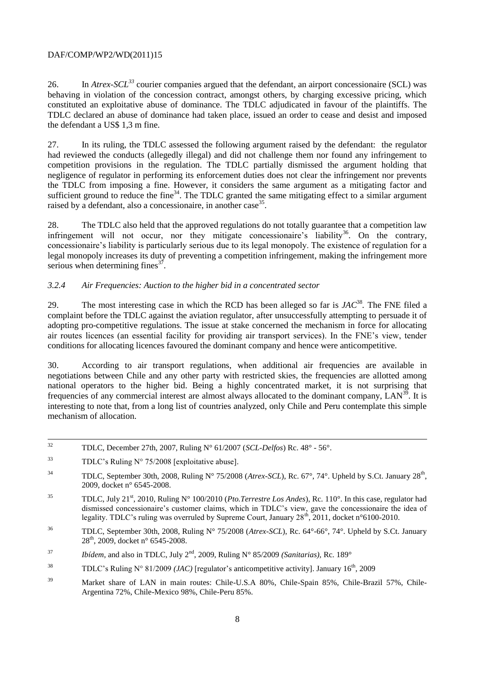26. In *Atrex-SCL<sup>33</sup>* courier companies argued that the defendant, an airport concessionaire (SCL) was behaving in violation of the concession contract, amongst others, by charging excessive pricing, which constituted an exploitative abuse of dominance. The TDLC adjudicated in favour of the plaintiffs. The TDLC declared an abuse of dominance had taken place, issued an order to cease and desist and imposed the defendant a US\$ 1,3 m fine.

27. In its ruling, the TDLC assessed the following argument raised by the defendant: the regulator had reviewed the conducts (allegedly illegal) and did not challenge them nor found any infringement to competition provisions in the regulation. The TDLC partially dismissed the argument holding that negligence of regulator in performing its enforcement duties does not clear the infringement nor prevents the TDLC from imposing a fine. However, it considers the same argument as a mitigating factor and sufficient ground to reduce the fine<sup>34</sup>. The TDLC granted the same mitigating effect to a similar argument raised by a defendant, also a concessionaire, in another case<sup>35</sup>.

28. The TDLC also held that the approved regulations do not totally guarantee that a competition law infringement will not occur, nor they mitigate concessionaire's liability<sup>36</sup>. On the contrary, concessionaire"s liability is particularly serious due to its legal monopoly. The existence of regulation for a legal monopoly increases its duty of preventing a competition infringement, making the infringement more serious when determining fines $3^7$ .

## *3.2.4 Air Frequencies: Auction to the higher bid in a concentrated sector*

29. The most interesting case in which the RCD has been alleged so far is  $JAC^{38}$ . The FNE filed a complaint before the TDLC against the aviation regulator, after unsuccessfully attempting to persuade it of adopting pro-competitive regulations. The issue at stake concerned the mechanism in force for allocating air routes licences (an essential facility for providing air transport services). In the FNE"s view, tender conditions for allocating licences favoured the dominant company and hence were anticompetitive.

30. According to air transport regulations, when additional air frequencies are available in negotiations between Chile and any other party with restricted skies, the frequencies are allotted among national operators to the higher bid. Being a highly concentrated market, it is not surprising that frequencies of any commercial interest are almost always allocated to the dominant company,  $LAN^{39}$ . It is interesting to note that, from a long list of countries analyzed, only Chile and Peru contemplate this simple mechanism of allocation.

 $32$ <sup>32</sup> TDLC, December 27th, 2007, Ruling N° 61/2007 (*SCL-Delfos*) Rc. 48° - 56°.

 $33$  TDLC's Ruling N° 75/2008 [exploitative abuse].

<sup>&</sup>lt;sup>34</sup> TDLC, September 30th, 2008, Ruling N° 75/2008 (*Atrex-SCL*), Rc. 67°, 74°. Upheld by S.Ct. January 28<sup>th</sup>, 2009, docket n° 6545-2008.

<sup>35</sup> TDLC, July 21st, 2010, Ruling N° 100/2010 (*Pto.Terrestre Los Andes*), Rc. 110°. In this case, regulator had dismissed concessionaire's customer claims, which in TDLC's view, gave the concessionaire the idea of legality. TDLC's ruling was overruled by Supreme Court, January 28<sup>th</sup>, 2011, docket n°6100-2010.

<sup>36</sup> TDLC, September 30th, 2008, Ruling N° 75/2008 (*Atrex-SCL*), Rc. 64°-66°, 74°. Upheld by S.Ct. January 28<sup>th</sup>, 2009, docket n° 6545-2008.

<sup>&</sup>lt;sup>37</sup> *Ibídem*, and also in TDLC, July  $2<sup>nd</sup>$ , 2009, Ruling N° 85/2009 *(Sanitarias)*, Rc. 189°

<sup>&</sup>lt;sup>38</sup> TDLC's Ruling N° 81/2009 *(JAC)* [regulator's anticompetitive activity]. January  $16<sup>th</sup>$ , 2009

<sup>39</sup> Market share of LAN in main routes: Chile-U.S.A 80%, Chile-Spain 85%, Chile-Brazil 57%, Chile-Argentina 72%, Chile-Mexico 98%, Chile-Peru 85%.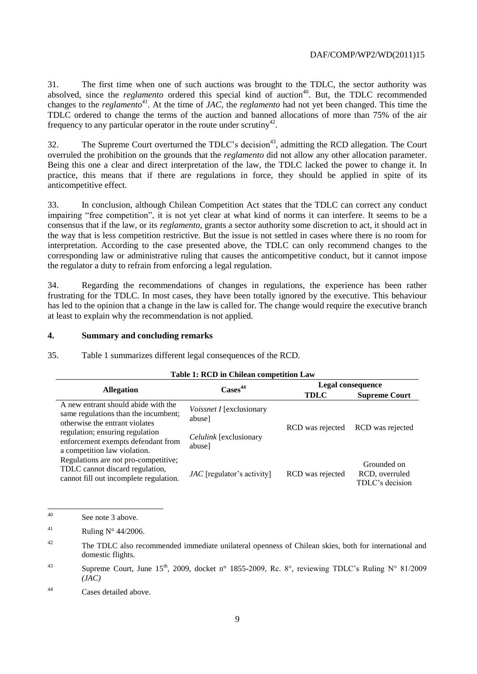31. The first time when one of such auctions was brought to the TDLC, the sector authority was absolved, since the *reglamento* ordered this special kind of auction<sup>40</sup>. But, the TDLC recommended changes to the *reglamento<sup>41</sup>*. At the time of *JAC*, the *reglamento* had not yet been changed. This time the TDLC ordered to change the terms of the auction and banned allocations of more than 75% of the air frequency to any particular operator in the route under scrutiny<sup>42</sup>.

32. The Supreme Court overturned the TDLC's decision<sup>43</sup>, admitting the RCD allegation. The Court overruled the prohibition on the grounds that the *reglamento* did not allow any other allocation parameter. Being this one a clear and direct interpretation of the law, the TDLC lacked the power to change it. In practice, this means that if there are regulations in force, they should be applied in spite of its anticompetitive effect.

33. In conclusion, although Chilean Competition Act states that the TDLC can correct any conduct impairing "free competition", it is not yet clear at what kind of norms it can interfere. It seems to be a consensus that if the law, or its *reglamento*, grants a sector authority some discretion to act, it should act in the way that is less competition restrictive. But the issue is not settled in cases where there is no room for interpretation. According to the case presented above, the TDLC can only recommend changes to the corresponding law or administrative ruling that causes the anticompetitive conduct, but it cannot impose the regulator a duty to refrain from enforcing a legal regulation.

34. Regarding the recommendations of changes in regulations, the experience has been rather frustrating for the TDLC. In most cases, they have been totally ignored by the executive. This behaviour has led to the opinion that a change in the law is called for. The change would require the executive branch at least to explain why the recommendation is not applied.

#### **4. Summary and concluding remarks**

35. Table 1 summarizes different legal consequences of the RCD.

| <b>Allegation</b>                                                                                                 | $\text{Case}^{44}$                        | Legal consequence |                                                  |
|-------------------------------------------------------------------------------------------------------------------|-------------------------------------------|-------------------|--------------------------------------------------|
|                                                                                                                   |                                           | <b>TDLC</b>       | <b>Supreme Court</b>                             |
| A new entrant should abide with the<br>same regulations than the incumbent;<br>otherwise the entrant violates     | <i>Voissnet I</i> [exclusionary<br>abuse] | RCD was rejected  | RCD was rejected                                 |
| regulation; ensuring regulation<br>enforcement exempts defendant from<br>a competition law violation.             | <i>Celulink</i> [exclusionary<br>abuse]   |                   |                                                  |
| Regulations are not pro-competitive;<br>TDLC cannot discard regulation,<br>cannot fill out incomplete regulation. | $JAC$ [regulator's activity]              | RCD was rejected  | Grounded on<br>RCD, overruled<br>TDLC's decision |

#### **Table 1: RCD in Chilean competition Law**

 $40$ See note 3 above.

<sup>41</sup> Ruling N° 44/2006.

<sup>42</sup> The TDLC also recommended immediate unilateral openness of Chilean skies, both for international and domestic flights.

<sup>43</sup> Supreme Court, June 15<sup>th</sup>, 2009, docket n° 1855-2009, Rc. 8°, reviewing TDLC's Ruling N° 81/2009 *(JAC)*

<sup>44</sup> Cases detailed above.